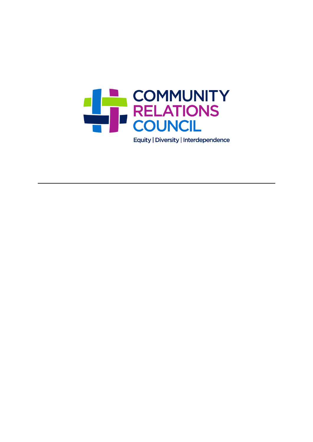

Equity | Diversity | Interdependence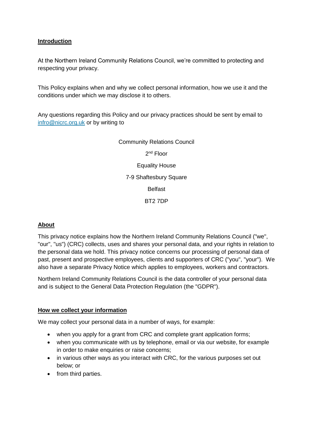#### **Introduction**

At the Northern Ireland Community Relations Council, we're committed to protecting and respecting your privacy.

This Policy explains when and why we collect personal information, how we use it and the conditions under which we may disclose it to others.

Any questions regarding this Policy and our privacy practices should be sent by email to [infro@nicrc.org.uk](mailto:infro@nicrc.org.uk) or by writing to

> Community Relations Council 2<sup>nd</sup> Floor Equality House 7-9 Shaftesbury Square Belfast BT2 7DP

## **About**

This privacy notice explains how the Northern Ireland Community Relations Council ("we", "our", "us") (CRC) collects, uses and shares your personal data, and your rights in relation to the personal data we hold. This privacy notice concerns our processing of personal data of past, present and prospective employees, clients and supporters of CRC ("you", "your"). We also have a separate Privacy Notice which applies to employees, workers and contractors.

Northern Ireland Community Relations Council is the data controller of your personal data and is subject to the General Data Protection Regulation (the "GDPR").

#### **How we collect your information**

We may collect your personal data in a number of ways, for example:

- when you apply for a grant from CRC and complete grant application forms;
- when you communicate with us by telephone, email or via our website, for example in order to make enquiries or raise concerns:
- in various other ways as you interact with CRC, for the various purposes set out below; or
- from third parties.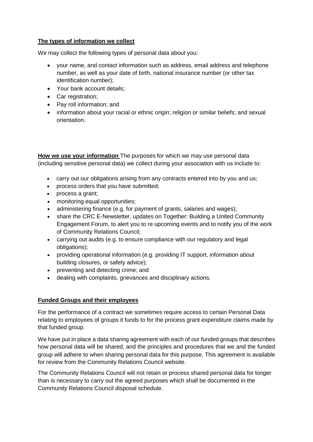#### **The types of information we collect**

We may collect the following types of personal data about you:

- your name, and contact information such as address, email address and telephone number, as well as your date of birth, national insurance number (or other tax identification number);
- Your bank account details;
- Car registration:
- Pay roll information; and
- information about your racial or ethnic origin; religion or similar beliefs; and sexual orientation.

**How we use your information** The purposes for which we may use personal data (including sensitive personal data) we collect during your association with us include to:

- carry out our obligations arising from any contracts entered into by you and us;
- process orders that you have submitted;
- process a grant;
- monitoring equal opportunities;
- administering finance (e.g. for payment of grants, salaries and wages);
- share the CRC E-Newsletter, updates on Together: Building a United Community Engagement Forum, to alert you to re upcoming events and to notify you of the work of Community Relations Council;
- carrying out audits (e.g. to ensure compliance with our regulatory and legal obligations);
- providing operational information (e.g. providing IT support, information about building closures, or safety advice);
- preventing and detecting crime; and
- dealing with complaints, grievances and disciplinary actions.

## **Funded Groups and their employees**

For the performance of a contract we sometimes require access to certain Personal Data relating to employees of groups it funds to for the process grant expenditure claims made by that funded group.

We have put in place a data sharing agreement with each of our funded groups that describes how personal data will be shared, and the principles and procedures that we and the funded group will adhere to when sharing personal data for this purpose. This agreement is available for review from the Community Relations Council website.

The Community Relations Council will not retain or process shared personal data for longer than is necessary to carry out the agreed purposes which shall be documented in the Community Relations Council disposal schedule.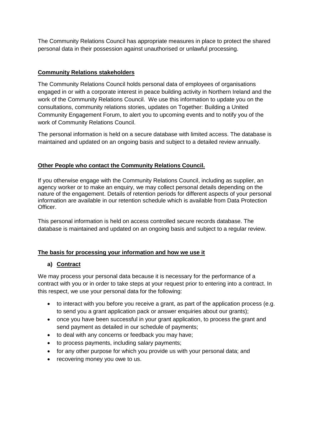The Community Relations Council has appropriate measures in place to protect the shared personal data in their possession against unauthorised or unlawful processing.

#### **Community Relations stakeholders**

The Community Relations Council holds personal data of employees of organisations engaged in or with a corporate interest in peace building activity in Northern Ireland and the work of the Community Relations Council. We use this information to update you on the consultations, community relations stories, updates on Together: Building a United Community Engagement Forum, to alert you to upcoming events and to notify you of the work of Community Relations Council.

The personal information is held on a secure database with limited access. The database is maintained and updated on an ongoing basis and subject to a detailed review annually.

#### **Other People who contact the Community Relations Council.**

If you otherwise engage with the Community Relations Council, including as supplier, an agency worker or to make an enquiry, we may collect personal details depending on the nature of the engagement. Details of retention periods for different aspects of your personal information are available in our retention schedule which is available from Data Protection Officer.

This personal information is held on access controlled secure records database. The database is maintained and updated on an ongoing basis and subject to a regular review.

## **The basis for processing your information and how we use it**

## **a) Contract**

We may process your personal data because it is necessary for the performance of a contract with you or in order to take steps at your request prior to entering into a contract. In this respect, we use your personal data for the following:

- to interact with you before you receive a grant, as part of the application process (e.g. to send you a grant application pack or answer enquiries about our grants);
- once you have been successful in your grant application, to process the grant and send payment as detailed in our schedule of payments;
- to deal with any concerns or feedback you may have;
- to process payments, including salary payments;
- for any other purpose for which you provide us with your personal data; and
- recovering money you owe to us.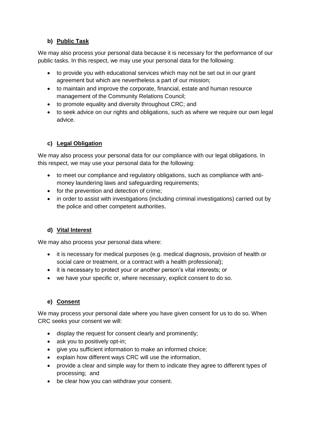## **b) Public Task**

We may also process your personal data because it is necessary for the performance of our public tasks. In this respect, we may use your personal data for the following:

- to provide you with educational services which may not be set out in our grant agreement but which are nevertheless a part of our mission;
- to maintain and improve the corporate, financial, estate and human resource management of the Community Relations Council;
- to promote equality and diversity throughout CRC; and
- to seek advice on our rights and obligations, such as where we require our own legal advice.

# **c) Legal Obligation**

We may also process your personal data for our compliance with our legal obligations. In this respect, we may use your personal data for the following:

- to meet our compliance and regulatory obligations, such as compliance with antimoney laundering laws and safeguarding requirements;
- for the prevention and detection of crime;
- in order to assist with investigations (including criminal investigations) carried out by the police and other competent authorities.

## **d) Vital Interest**

We may also process your personal data where:

- it is necessary for medical purposes (e.g. medical diagnosis, provision of health or social care or treatment, or a contract with a health professional);
- it is necessary to protect your or another person's vital interests; or
- we have your specific or, where necessary, explicit consent to do so.

## **e) Consent**

We may process your personal date where you have given consent for us to do so. When CRC seeks your consent we will:

- display the request for consent clearly and prominently;
- ask you to positively opt-in;
- **•** give you sufficient information to make an informed choice;
- explain how different ways CRC will use the information,
- provide a clear and simple way for them to indicate they agree to different types of processing; and
- be clear how you can withdraw your consent.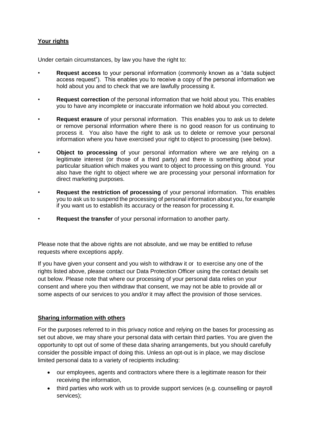## **Your rights**

Under certain circumstances, by law you have the right to:

- **Request access** to your personal information (commonly known as a "data subject access request"). This enables you to receive a copy of the personal information we hold about you and to check that we are lawfully processing it.
- **Request correction** of the personal information that we hold about you. This enables you to have any incomplete or inaccurate information we hold about you corrected.
- **Request erasure** of your personal information. This enables you to ask us to delete or remove personal information where there is no good reason for us continuing to process it. You also have the right to ask us to delete or remove your personal information where you have exercised your right to object to processing (see below).
- **Object to processing** of your personal information where we are relying on a legitimate interest (or those of a third party) and there is something about your particular situation which makes you want to object to processing on this ground. You also have the right to object where we are processing your personal information for direct marketing purposes.
- **Request the restriction of processing** of your personal information. This enables you to ask us to suspend the processing of personal information about you, for example if you want us to establish its accuracy or the reason for processing it.
- **Request the transfer** of your personal information to another party.

Please note that the above rights are not absolute, and we may be entitled to refuse requests where exceptions apply.

If you have given your consent and you wish to withdraw it or to exercise any one of the rights listed above, please contact our Data Protection Officer using the contact details set out below. Please note that where our processing of your personal data relies on your consent and where you then withdraw that consent, we may not be able to provide all or some aspects of our services to you and/or it may affect the provision of those services.

#### **Sharing information with others**

For the purposes referred to in this privacy notice and relying on the bases for processing as set out above, we may share your personal data with certain third parties. You are given the opportunity to opt out of some of these data sharing arrangements, but you should carefully consider the possible impact of doing this. Unless an opt-out is in place, we may disclose limited personal data to a variety of recipients including:

- our employees, agents and contractors where there is a legitimate reason for their receiving the information,
- third parties who work with us to provide support services (e.g. counselling or payroll services);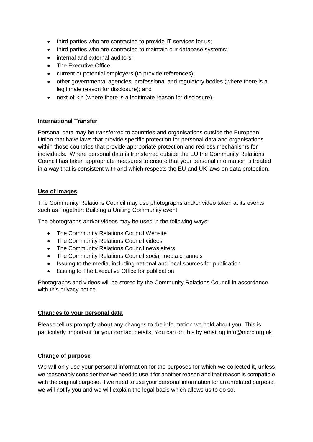- third parties who are contracted to provide IT services for us;
- third parties who are contracted to maintain our database systems;
- internal and external auditors;
- The Executive Office;
- current or potential employers (to provide references);
- other governmental agencies, professional and regulatory bodies (where there is a legitimate reason for disclosure); and
- next-of-kin (where there is a legitimate reason for disclosure).

#### **International Transfer**

Personal data may be transferred to countries and organisations outside the European Union that have laws that provide specific protection for personal data and organisations within those countries that provide appropriate protection and redress mechanisms for individuals. Where personal data is transferred outside the EU the Community Relations Council has taken appropriate measures to ensure that your personal information is treated in a way that is consistent with and which respects the EU and UK laws on data protection.

#### **Use of Images**

The Community Relations Council may use photographs and/or video taken at its events such as Together: Building a Uniting Community event.

The photographs and/or videos may be used in the following ways:

- The Community Relations Council Website
- The Community Relations Council videos
- The Community Relations Council newsletters
- The Community Relations Council social media channels
- Issuing to the media, including national and local sources for publication
- Issuing to The Executive Office for publication

Photographs and videos will be stored by the Community Relations Council in accordance with this privacy notice.

#### **Changes to your personal data**

Please tell us promptly about any changes to the information we hold about you. This is particularly important for your contact details. You can do this by emailing [info@nicrc.org.uk.](mailto:info@nicrc.org.uk)

## **Change of purpose**

We will only use your personal information for the purposes for which we collected it, unless we reasonably consider that we need to use it for another reason and that reason is compatible with the original purpose. If we need to use your personal information for an unrelated purpose, we will notify you and we will explain the legal basis which allows us to do so.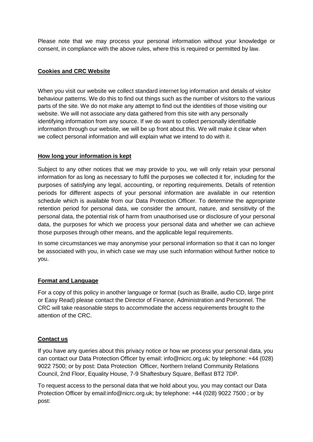Please note that we may process your personal information without your knowledge or consent, in compliance with the above rules, where this is required or permitted by law.

#### **Cookies and CRC Website**

When you visit our website we collect standard internet log information and details of visitor behaviour patterns. We do this to find out things such as the number of visitors to the various parts of the site. We do not make any attempt to find out the identities of those visiting our website. We will not associate any data gathered from this site with any personally identifying information from any source. If we do want to collect personally identifiable information through our website, we will be up front about this. We will make it clear when we collect personal information and will explain what we intend to do with it.

#### **How long your information is kept**

Subject to any other notices that we may provide to you, we will only retain your personal information for as long as necessary to fulfil the purposes we collected it for, including for the purposes of satisfying any legal, accounting, or reporting requirements. Details of retention periods for different aspects of your personal information are available in our retention schedule which is available from our Data Protection Officer. To determine the appropriate retention period for personal data, we consider the amount, nature, and sensitivity of the personal data, the potential risk of harm from unauthorised use or disclosure of your personal data, the purposes for which we process your personal data and whether we can achieve those purposes through other means, and the applicable legal requirements.

In some circumstances we may anonymise your personal information so that it can no longer be associated with you, in which case we may use such information without further notice to you.

## **Format and Language**

For a copy of this policy in another language or format (such as Braille, audio CD, large print or Easy Read) please contact the Director of Finance, Administration and Personnel. The CRC will take reasonable steps to accommodate the access requirements brought to the attention of the CRC.

#### **Contact us**

If you have any queries about this privacy notice or how we process your personal data, you can contact our Data Protection Officer by email: info@nicrc.org.uk; by telephone: +44 (028) 9022 7500; or by post: Data Protection Officer, Northern Ireland Community Relations Council, 2nd Floor, Equality House, 7-9 Shaftesbury Square, Belfast BT2 7DP.

To request access to the personal data that we hold about you, you may contact our Data Protection Officer by email:info@nicrc.org.uk; by telephone: +44 (028) 9022 7500 ; or by post: